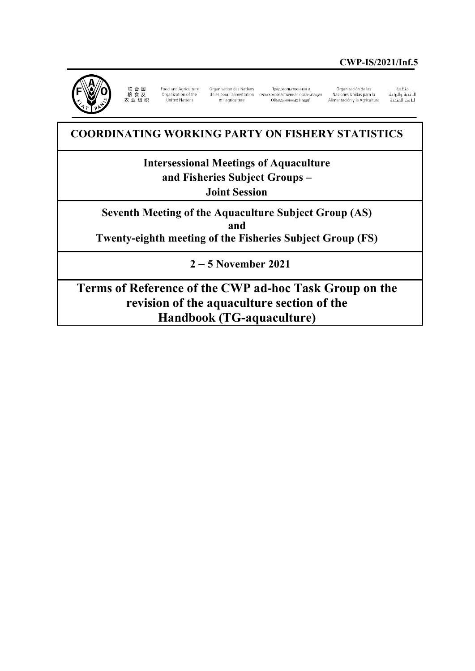

联 合 国<br>粮 食 及<br>农 业 组 织 Food and Agriculture<br>Organization of the United Nations

Organisation des Nations Unies pour l'alimentation сельскохозяйственная организация et l'agriculture

Продовольственная и Объелиненных Наций

Organización de las<br>Naciones Unidas para la Alimentación y la Agricultura

منظمة ستندية<br>الأغذية والزراعة 

# **COORDINATING WORKING PARTY ON FISHERY STATISTICS**

**Intersessional Meetings of Aquaculture and Fisheries Subject Groups – Joint Session**

**Seventh Meeting of the Aquaculture Subject Group (AS) and Twenty-eighth meeting of the Fisheries Subject Group (FS)**

**2 – 5 November 2021**

**Terms of Reference of the CWP ad-hoc Task Group on the revision of the aquaculture section of the Handbook (TG-aquaculture)**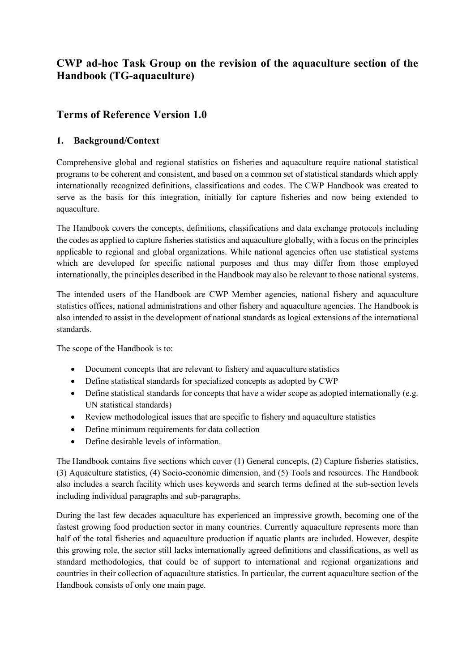## **CWP ad-hoc Task Group on the revision of the aquaculture section of the Handbook (TG-aquaculture)**

## **Terms of Reference Version 1.0**

### **1. Background/Context**

Comprehensive global and regional statistics on fisheries and aquaculture require national statistical programs to be coherent and consistent, and based on a common set of statistical standards which apply internationally recognized definitions, classifications and codes. The CWP Handbook was created to serve as the basis for this integration, initially for capture fisheries and now being extended to aquaculture.

The Handbook covers the concepts, definitions, classifications and data exchange protocols including the codes as applied to capture fisheries statistics and aquaculture globally, with a focus on the principles applicable to regional and global organizations. While national agencies often use statistical systems which are developed for specific national purposes and thus may differ from those employed internationally, the principles described in the Handbook may also be relevant to those national systems.

The intended users of the Handbook are CWP Member agencies, national fishery and aquaculture statistics offices, national administrations and other fishery and aquaculture agencies. The Handbook is also intended to assist in the development of national standards as logical extensions of the international standards.

The scope of the Handbook is to:

- Document concepts that are relevant to fishery and aquaculture statistics
- Define statistical standards for specialized concepts as adopted by CWP
- Define statistical standards for concepts that have a wider scope as adopted internationally (e.g. UN statistical standards)
- Review methodological issues that are specific to fishery and aquaculture statistics
- Define minimum requirements for data collection
- Define desirable levels of information.

The Handbook contains five sections which cover (1) General concepts, (2) Capture fisheries statistics, (3) Aquaculture statistics, (4) Socio-economic dimension, and (5) Tools and resources. The Handbook also includes a search facility which uses keywords and search terms defined at the sub-section levels including individual paragraphs and sub-paragraphs.

During the last few decades aquaculture has experienced an impressive growth, becoming one of the fastest growing food production sector in many countries. Currently aquaculture represents more than half of the total fisheries and aquaculture production if aquatic plants are included. However, despite this growing role, the sector still lacks internationally agreed definitions and classifications, as well as standard methodologies, that could be of support to international and regional organizations and countries in their collection of aquaculture statistics. In particular, the current aquaculture section of the Handbook consists of only one main page.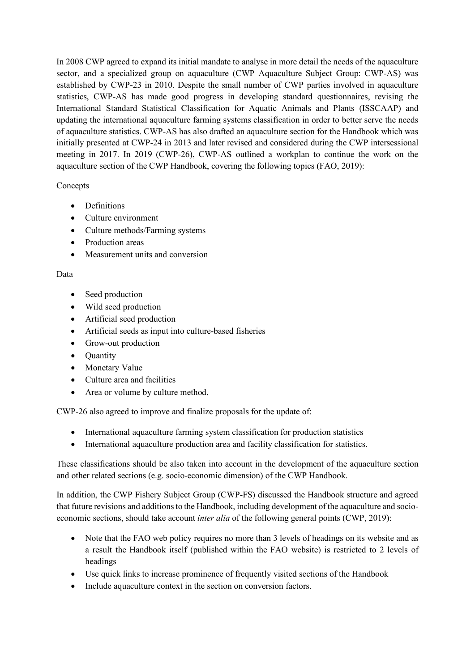In 2008 CWP agreed to expand its initial mandate to analyse in more detail the needs of the aquaculture sector, and a specialized group on aquaculture (CWP Aquaculture Subject Group: CWP-AS) was established by CWP-23 in 2010. Despite the small number of CWP parties involved in aquaculture statistics, CWP-AS has made good progress in developing standard questionnaires, revising the International Standard Statistical Classification for Aquatic Animals and Plants (ISSCAAP) and updating the international aquaculture farming systems classification in order to better serve the needs of aquaculture statistics. CWP-AS has also drafted an aquaculture section for the Handbook which was initially presented at CWP-24 in 2013 and later revised and considered during the CWP intersessional meeting in 2017. In 2019 (CWP-26), CWP-AS outlined a workplan to continue the work on the aquaculture section of the CWP Handbook, covering the following topics (FAO, 2019):

#### Concepts

- Definitions
- Culture environment
- Culture methods/Farming systems
- Production areas
- Measurement units and conversion

#### Data

- Seed production
- Wild seed production
- Artificial seed production
- Artificial seeds as input into culture-based fisheries
- Grow-out production
- Quantity
- Monetary Value
- Culture area and facilities
- Area or volume by culture method.

CWP-26 also agreed to improve and finalize proposals for the update of:

- International aquaculture farming system classification for production statistics
- International aquaculture production area and facility classification for statistics.

These classifications should be also taken into account in the development of the aquaculture section and other related sections (e.g. socio-economic dimension) of the CWP Handbook.

In addition, the CWP Fishery Subject Group (CWP-FS) discussed the Handbook structure and agreed that future revisions and additions to the Handbook, including development of the aquaculture and socioeconomic sections, should take account *inter alia* of the following general points (CWP, 2019):

- Note that the FAO web policy requires no more than 3 levels of headings on its website and as a result the Handbook itself (published within the FAO website) is restricted to 2 levels of headings
- Use quick links to increase prominence of frequently visited sections of the Handbook
- Include aquaculture context in the section on conversion factors.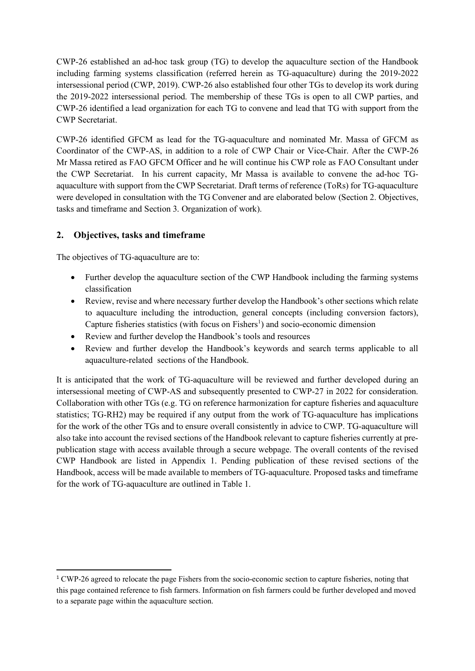CWP-26 established an ad-hoc task group (TG) to develop the aquaculture section of the Handbook including farming systems classification (referred herein as TG-aquaculture) during the 2019-2022 intersessional period (CWP, 2019). CWP-26 also established four other TGs to develop its work during the 2019-2022 intersessional period. The membership of these TGs is open to all CWP parties, and CWP-26 identified a lead organization for each TG to convene and lead that TG with support from the CWP Secretariat.

CWP-26 identified GFCM as lead for the TG-aquaculture and nominated Mr. Massa of GFCM as Coordinator of the CWP-AS, in addition to a role of CWP Chair or Vice-Chair. After the CWP-26 Mr Massa retired as FAO GFCM Officer and he will continue his CWP role as FAO Consultant under the CWP Secretariat. In his current capacity, Mr Massa is available to convene the ad-hoc TGaquaculture with support from the CWP Secretariat. Draft terms of reference (ToRs) for TG-aquaculture were developed in consultation with the TG Convener and are elaborated below (Section 2. Objectives, tasks and timeframe and Section 3. Organization of work).

### **2. Objectives, tasks and timeframe**

The objectives of TG-aquaculture are to:

- Further develop the aquaculture section of the CWP Handbook including the farming systems classification
- Review, revise and where necessary further develop the Handbook's other sections which relate to aquaculture including the introduction, general concepts (including conversion factors), Capture fisheries statistics (with focus on  $Fisher's$ ) and socio-economic dimension
- Review and further develop the Handbook's tools and resources
- Review and further develop the Handbook's keywords and search terms applicable to all aquaculture-related sections of the Handbook.

It is anticipated that the work of TG-aquaculture will be reviewed and further developed during an intersessional meeting of CWP-AS and subsequently presented to CWP-27 in 2022 for consideration. Collaboration with other TGs (e.g. TG on reference harmonization for capture fisheries and aquaculture statistics; TG-RH2) may be required if any output from the work of TG-aquaculture has implications for the work of the other TGs and to ensure overall consistently in advice to CWP. TG-aquaculture will also take into account the revised sections of the Handbook relevant to capture fisheries currently at prepublication stage with access available through a secure webpage. The overall contents of the revised CWP Handbook are listed in Appendix 1. Pending publication of these revised sections of the Handbook, access will be made available to members of TG-aquaculture. Proposed tasks and timeframe for the work of TG-aquaculture are outlined in Table 1.

<span id="page-3-0"></span><sup>&</sup>lt;sup>1</sup> CWP-26 agreed to relocate the page Fishers from the socio-economic section to capture fisheries, noting that this page contained reference to fish farmers. Information on fish farmers could be further developed and moved to a separate page within the aquaculture section.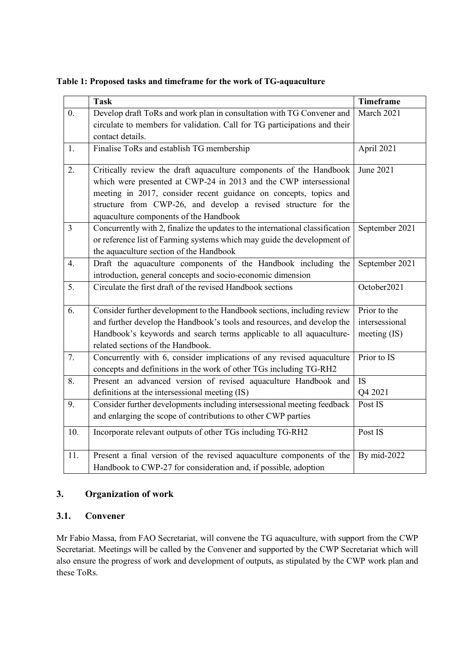**Table 1: Proposed tasks and timeframe for the work of TG-aquaculture**

|                  | <b>Task</b>                                                                   | <b>Timeframe</b> |
|------------------|-------------------------------------------------------------------------------|------------------|
| $\overline{0}$ . | Develop draft ToRs and work plan in consultation with TG Convener and         | March 2021       |
|                  | circulate to members for validation. Call for TG participations and their     |                  |
|                  | contact details.                                                              |                  |
| 1.               | Finalise ToRs and establish TG membership                                     | April 2021       |
|                  |                                                                               |                  |
| 2.               | Critically review the draft aquaculture components of the Handbook            | June 2021        |
|                  | which were presented at CWP-24 in 2013 and the CWP intersessional             |                  |
|                  | meeting in 2017, consider recent guidance on concepts, topics and             |                  |
|                  | structure from CWP-26, and develop a revised structure for the                |                  |
|                  | aquaculture components of the Handbook                                        |                  |
| $\overline{3}$   | Concurrently with 2, finalize the updates to the international classification | September 2021   |
|                  | or reference list of Farming systems which may guide the development of       |                  |
|                  | the aquaculture section of the Handbook                                       |                  |
| 4.               | Draft the aquaculture components of the Handbook including the                | September 2021   |
|                  | introduction, general concepts and socio-economic dimension                   |                  |
| 5.               | Circulate the first draft of the revised Handbook sections                    | October2021      |
|                  |                                                                               |                  |
| 6.               | Consider further development to the Handbook sections, including review       | Prior to the     |
|                  | and further develop the Handbook's tools and resources, and develop the       | intersessional   |
|                  | Handbook's keywords and search terms applicable to all aquaculture-           | meeting $(IS)$   |
|                  | related sections of the Handbook.                                             |                  |
| 7.               | Concurrently with 6, consider implications of any revised aquaculture         | Prior to IS      |
|                  | concepts and definitions in the work of other TGs including TG-RH2            |                  |
| 8.               | Present an advanced version of revised aquaculture Handbook and               | <b>IS</b>        |
|                  | definitions at the intersessional meeting (IS)                                | Q4 2021          |
| 9.               | Consider further developments including intersessional meeting feedback       | Post IS          |
|                  | and enlarging the scope of contributions to other CWP parties                 |                  |
| 10.              | Incorporate relevant outputs of other TGs including TG-RH2                    | Post IS          |
|                  |                                                                               |                  |
| 11.              | Present a final version of the revised aquaculture components of the          | By mid-2022      |
|                  | Handbook to CWP-27 for consideration and, if possible, adoption               |                  |

### **3. Organization of work**

#### **3.1. Convener**

Mr Fabio Massa, from FAO Secretariat, will convene the TG aquaculture, with support from the CWP Secretariat. Meetings will be called by the Convener and supported by the CWP Secretariat which will also ensure the progress of work and development of outputs, as stipulated by the CWP work plan and these ToRs.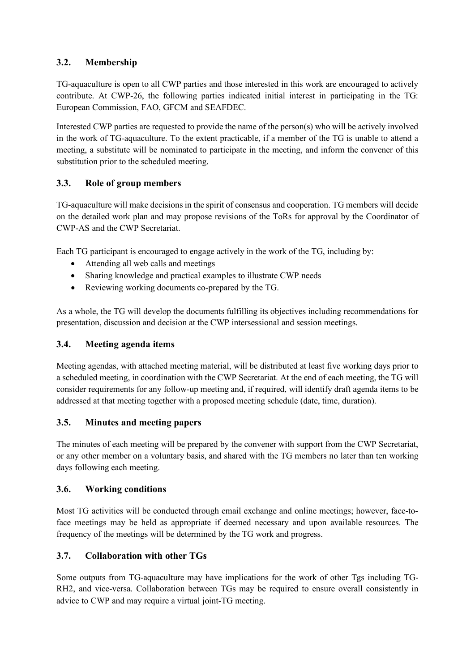### **3.2. Membership**

TG-aquaculture is open to all CWP parties and those interested in this work are encouraged to actively contribute. At CWP-26, the following parties indicated initial interest in participating in the TG: European Commission, FAO, GFCM and SEAFDEC.

Interested CWP parties are requested to provide the name of the person(s) who will be actively involved in the work of TG-aquaculture. To the extent practicable, if a member of the TG is unable to attend a meeting, a substitute will be nominated to participate in the meeting, and inform the convener of this substitution prior to the scheduled meeting.

### **3.3. Role of group members**

TG-aquaculture will make decisions in the spirit of consensus and cooperation. TG members will decide on the detailed work plan and may propose revisions of the ToRs for approval by the Coordinator of CWP-AS and the CWP Secretariat.

Each TG participant is encouraged to engage actively in the work of the TG, including by:

- Attending all web calls and meetings
- Sharing knowledge and practical examples to illustrate CWP needs
- Reviewing working documents co-prepared by the TG.

As a whole, the TG will develop the documents fulfilling its objectives including recommendations for presentation, discussion and decision at the CWP intersessional and session meetings.

### **3.4. Meeting agenda items**

Meeting agendas, with attached meeting material, will be distributed at least five working days prior to a scheduled meeting, in coordination with the CWP Secretariat. At the end of each meeting, the TG will consider requirements for any follow-up meeting and, if required, will identify draft agenda items to be addressed at that meeting together with a proposed meeting schedule (date, time, duration).

### **3.5. Minutes and meeting papers**

The minutes of each meeting will be prepared by the convener with support from the CWP Secretariat, or any other member on a voluntary basis, and shared with the TG members no later than ten working days following each meeting.

### **3.6. Working conditions**

Most TG activities will be conducted through email exchange and online meetings; however, face-toface meetings may be held as appropriate if deemed necessary and upon available resources. The frequency of the meetings will be determined by the TG work and progress.

### **3.7. Collaboration with other TGs**

Some outputs from TG-aquaculture may have implications for the work of other Tgs including TG-RH2, and vice-versa. Collaboration between TGs may be required to ensure overall consistently in advice to CWP and may require a virtual joint-TG meeting.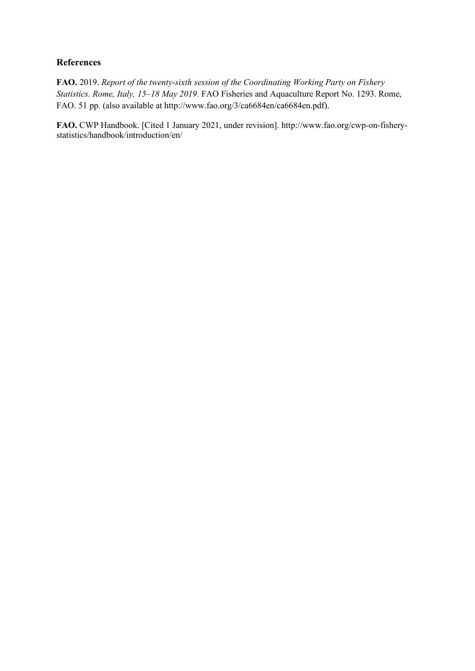### **References**

**FAO.** 2019. *Report of the twenty-sixth session of the Coordinating Working Party on Fishery Statistics. Rome, Italy, 15–18 May 2019.* FAO Fisheries and Aquaculture Report No. 1293. Rome, FAO. 51 pp. (also available at http://www.fao.org/3/ca6684en/ca6684en.pdf).

**FAO.** CWP Handbook. [Cited 1 January 2021, under revision]. http://www.fao.org/cwp-on-fisherystatistics/handbook/introduction/en/